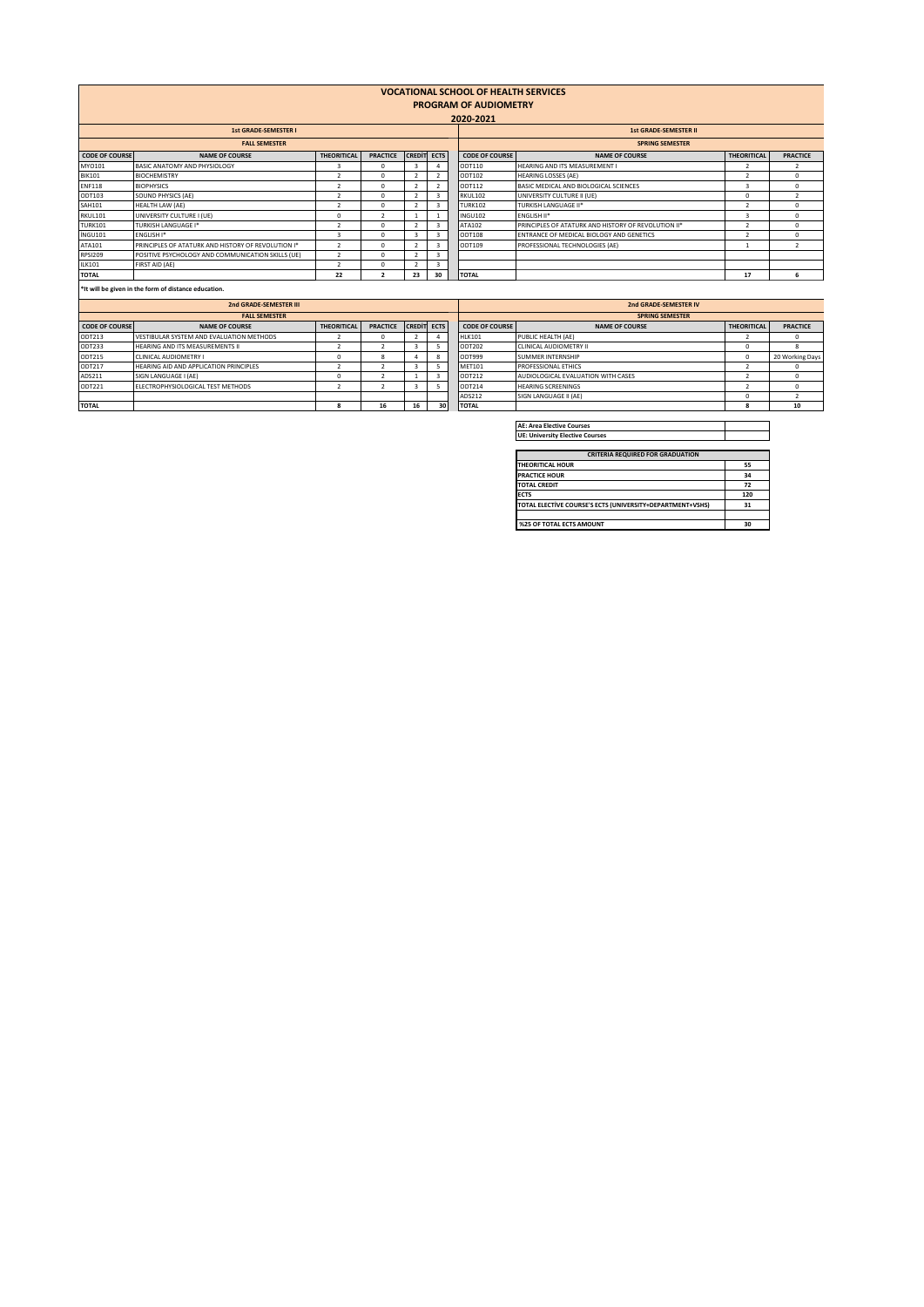| <b>VOCATIONAL SCHOOL OF HEALTH SERVICES</b><br><b>PROGRAM OF AUDIOMETRY</b><br>2020-2021 |                                                    |                         |                 |                    |                |                       |                                                     |                    |                 |  |
|------------------------------------------------------------------------------------------|----------------------------------------------------|-------------------------|-----------------|--------------------|----------------|-----------------------|-----------------------------------------------------|--------------------|-----------------|--|
| <b>1st GRADE-SEMESTER I</b>                                                              |                                                    |                         |                 |                    |                |                       | <b>1st GRADE-SEMESTER II</b>                        |                    |                 |  |
| <b>FALL SEMESTER</b>                                                                     |                                                    |                         |                 |                    |                |                       | <b>SPRING SEMESTER</b>                              |                    |                 |  |
| <b>CODE OF COURSE</b>                                                                    | <b>NAME OF COURSE</b>                              | <b>THEORITICAL</b>      | <b>PRACTICE</b> | <b>CREDIT ECTS</b> |                | <b>CODE OF COURSE</b> | <b>NAME OF COURSE</b>                               | <b>THEORITICAL</b> | <b>PRACTICE</b> |  |
| MY0101                                                                                   | BASIC ANATOMY AND PHYSIOLOGY                       | 3                       | $\Omega$        |                    |                | ODT110                | HEARING AND ITS MEASUREMENT I                       |                    |                 |  |
| <b>BIK101</b>                                                                            | <b>BIOCHEMISTRY</b>                                |                         | $\Omega$        |                    | $\overline{2}$ | ODT102                | <b>HEARING LOSSES (AE)</b>                          |                    | $\Omega$        |  |
| <b>ENF118</b>                                                                            | <b>BIOPHYSICS</b>                                  |                         | $\Omega$        |                    | $\overline{2}$ | ODT112                | BASIC MEDICAL AND BIOLOGICAL SCIENCES               | 3                  | $\Omega$        |  |
| ODT103                                                                                   | SOUND PHYSICS (AE)                                 |                         | $\Omega$        |                    | $\overline{3}$ | RKUL102               | UNIVERSITY CULTURE II (UE)                          | $\Omega$           |                 |  |
| <b>SAH101</b>                                                                            | HEALTH LAW (AE)                                    |                         | $\Omega$        |                    | 3              | <b>TURK102</b>        | <b>TURKISH LANGUAGE II*</b>                         |                    | $\sim$          |  |
| RKUL101                                                                                  | UNIVERSITY CULTURE I (UE)                          | $\Omega$                | $\overline{2}$  |                    |                | <b>INGU102</b>        | <b>ENGLISH II*</b>                                  |                    | $\Omega$        |  |
| <b>TURK101</b>                                                                           | <b>TURKISH LANGUAGE I*</b>                         |                         | $\Omega$        |                    | $\overline{3}$ | ATA102                | PRINCIPLES OF ATATURK AND HISTORY OF REVOLUTION II* |                    | $\Omega$        |  |
| INGU101                                                                                  | ENGLISH I*                                         | $\overline{\mathbf{a}}$ | $\Omega$        |                    | $\overline{3}$ | <b>ODT108</b>         | ENTRANCE OF MEDICAL BIOLOGY AND GENETICS            |                    | $\Omega$        |  |
| ATA101                                                                                   | PRINCIPLES OF ATATURK AND HISTORY OF REVOLUTION I* | $\rightarrow$           | $\Omega$        |                    | $\overline{3}$ | ODT109                | PROFESSIONAL TECHNOLOGIES (AE)                      |                    |                 |  |
| <b>RPSI209</b>                                                                           | POSITIVE PSYCHOLOGY AND COMMUNICATION SKILLS (UE)  |                         | $\Omega$        |                    | 3              |                       |                                                     |                    |                 |  |
| ILK101                                                                                   | FIRST AID (AE)                                     |                         | $\Omega$        |                    | 3              |                       |                                                     |                    |                 |  |
| <b>TOTAL</b>                                                                             |                                                    | 22                      | $\overline{2}$  | 23                 | 30             | <b>TOTAL</b>          |                                                     | 17                 |                 |  |
| the contract of the contract of the contract of the contract of the contract of          |                                                    |                         |                 |                    |                |                       |                                                     |                    |                 |  |

**\*It will be given in the form of distance education.** 

| 2nd GRADE-SEMESTER III |                                          |                    |                 |                    |    |               | 2nd GRADE-SEMESTER IV  |                                    |                    |                 |  |
|------------------------|------------------------------------------|--------------------|-----------------|--------------------|----|---------------|------------------------|------------------------------------|--------------------|-----------------|--|
| <b>FALL SEMESTER</b>   |                                          |                    |                 |                    |    |               | <b>SPRING SEMESTER</b> |                                    |                    |                 |  |
| <b>CODE OF COURSE</b>  | <b>NAME OF COURSE</b>                    | <b>THEORITICAL</b> | <b>PRACTICE</b> | <b>CREDIT ECTS</b> |    |               | <b>CODE OF COURSE</b>  | <b>NAME OF COURSE</b>              | <b>THEORITICAL</b> | <b>PRACTICE</b> |  |
| ODT213                 | VESTIBULAR SYSTEM AND EVALUATION METHODS |                    |                 |                    |    | <b>HLK101</b> |                        | PUBLIC HEALTH (AE)                 |                    | $\Omega$        |  |
| ODT233                 | HEARING AND ITS MEASUREMENTS II          |                    |                 |                    |    | ODT202        |                        | CLINICAL AUDIOMETRY II             |                    |                 |  |
| ODT215                 | CLINICAL AUDIOMETRY I                    |                    |                 |                    |    | ODT999        |                        | <b>SUMMER INTERNSHIP</b>           |                    | 20 Working Days |  |
| ODT217                 | HEARING AID AND APPLICATION PRINCIPLES   |                    |                 |                    |    | <b>MET101</b> |                        | PROFESSIONAL ETHICS                |                    |                 |  |
| ADS211                 | SIGN LANGUAGE I (AE)                     |                    |                 |                    |    | ODT212        |                        | AUDIOLOGICAL EVALUATION WITH CASES |                    |                 |  |
| ODT221                 | ELECTROPHYSIOLOGICAL TEST METHODS        |                    |                 |                    |    | ODT214        |                        | <b>HEARING SCREENINGS</b>          |                    |                 |  |
|                        |                                          |                    |                 |                    |    | ADS212        |                        | SIGN LANGUAGE II (AE)              |                    |                 |  |
| <b>TOTAL</b>           |                                          |                    | 16              |                    | 30 | <b>TOTAL</b>  |                        |                                    |                    | 10              |  |
|                        |                                          |                    |                 |                    |    |               |                        |                                    |                    |                 |  |

**AE: Area Elective Courses UE: University Elective Courses**

| <b>CRITERIA REQUIRED FOR GRADUATION</b>                   |     |  |  |  |  |  |
|-----------------------------------------------------------|-----|--|--|--|--|--|
| <b>THEORITICAL HOUR</b>                                   | 55  |  |  |  |  |  |
| <b>PRACTICE HOUR</b>                                      | 34  |  |  |  |  |  |
| <b>TOTAL CREDIT</b>                                       | 72  |  |  |  |  |  |
| <b>ECTS</b>                                               | 120 |  |  |  |  |  |
| TOTAL ELECTIVE COURSE'S ECTS (UNIVERSITY+DEPARTMENT+VSHS) | 31  |  |  |  |  |  |
|                                                           |     |  |  |  |  |  |
| %25 OF TOTAL ECTS AMOUNT                                  | 30  |  |  |  |  |  |